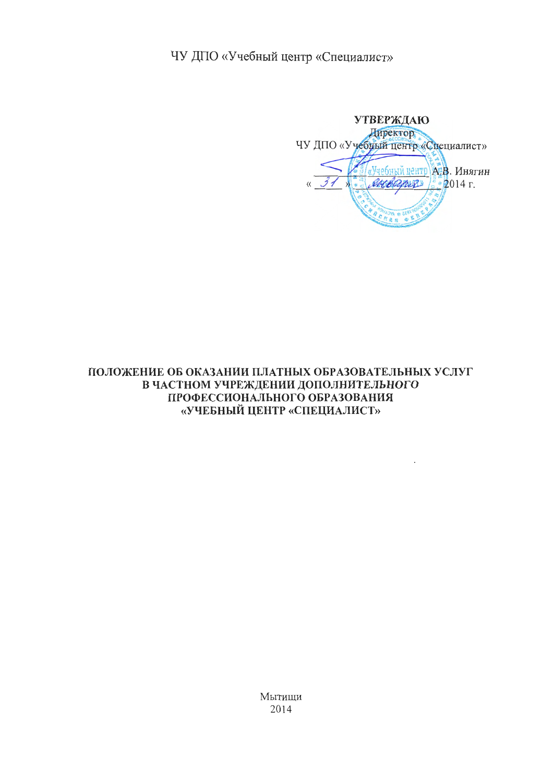ЧУ ДПО «Учебный центр «Специалист»

**УТВЕРЖДАЮ** Директор ЧУ ДПО «Учебный центр «Специалист» «Учебный центр ДЕВ. Инягин PACEBORE  $*2014$  r.

# ПОЛОЖЕНИЕ ОБ ОКАЗАНИИ ПЛАТНЫХ ОБРАЗОВАТЕЛЬНЫХ УСЛУГ В ЧАСТНОМ УЧРЕЖДЕНИИ ДОПОЛНИТЕЛЬНОГО ПРОФЕССИОНАЛЬНОГО ОБРАЗОВАНИЯ «УЧЕБНЫЙ ЦЕНТР «СПЕЦИАЛИСТ»

Мытищи 2014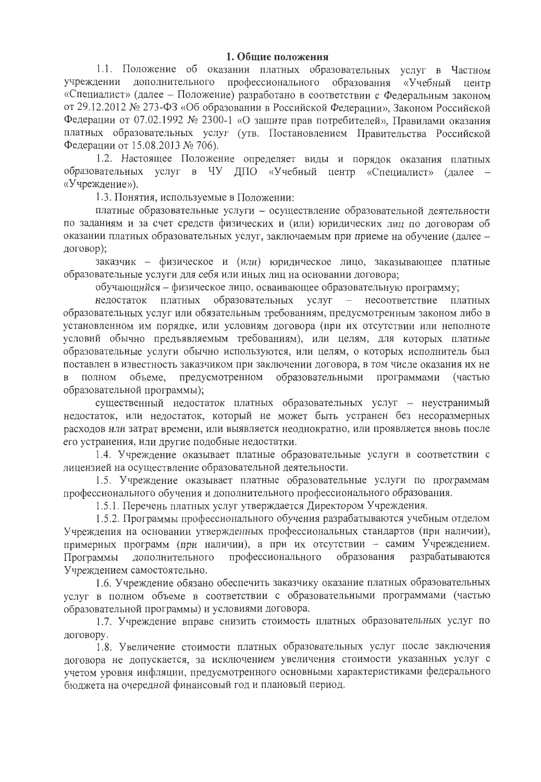## 1. Общие положения

1.1. Положение об оказании платных образовательных услуг в Частном учреждении дополнительного профессионального образования «Учебный центр «Специалист» (далее - Положение) разработано в соответствии с Федеральным законом от 29.12.2012 № 273-ФЗ «Об образовании в Российской Федерации», Законом Российской Федерации от 07.02.1992 № 2300-1 «О защите прав потребителей», Правилами оказания платных образовательных услуг (утв. Постановлением Правительства Российской Федерации от 15.08.2013 № 706).

1.2. Настоящее Положение определяет виды и порядок оказания платных образовательных услуг в ЧУ ДПО «Учебный центр «Специалист» (лалее -«Учреждение»).

1.3. Понятия, используемые в Положении:

платные образовательные услуги - осуществление образовательной деятельности по заданиям и за счет средств физических и (или) юридических лиц по договорам об оказании платных образовательных услуг, заключаемым при приеме на обучение (далее договор);

заказчик - физическое и (или) юридическое лицо, заказывающее платные образовательные услуги для себя или иных лиц на основании договора;

обучающийся - физическое лицо, осваивающее образовательную программу;

недостаток платных образовательных услуг - несоответствие платных образовательных услуг или обязательным требованиям, предусмотренным законом либо в установленном им порядке, или условиям договора (при их отсутствии или неполноте условий обычно предъявляемым требованиям), или целям, для которых платные образовательные услуги обычно используются, или целям, о которых исполнитель был поставлен в известность заказчиком при заключении договора, в том числе оказания их не  $\overline{B}$ полном объеме, предусмотренном образовательными программами (частью образовательной программы);

существенный недостаток платных образовательных услуг - неустранимый недостаток, или недостаток, который не может быть устранен без несоразмерных расходов или затрат времени, или выявляется неоднократно, или проявляется вновь после его устранения, или другие подобные недостатки.

1.4. Учреждение оказывает платные образовательные услуги в соответствии с лицензией на осуществление образовательной деятельности.

1.5. Учреждение оказывает платные образовательные услуги по программам профессионального обучения и дополнительного профессионального образования.

1.5.1. Перечень платных услуг утверждается Директором Учреждения.

1.5.2. Программы профессионального обучения разрабатываются учебным отделом Учреждения на основании утвержденных профессиональных стандартов (при наличии), примерных программ (при наличии), а при их отсутствии - самим Учреждением. дополнительного профессионального образования разрабатываются Программы Учреждением самостоятельно.

1.6. Учреждение обязано обеспечить заказчику оказание платных образовательных услуг в полном объеме в соответствии с образовательными программами (частью образовательной программы) и условиями договора.

1.7. Учреждение вправе снизить стоимость платных образовательных услуг по договору.

1.8. Увеличение стоимости платных образовательных услуг после заключения логовора не лопускается, за исключением увеличения стоимости указанных услуг с учетом уровня инфляции, предусмотренного основными характеристиками федерального бюджета на очередной финансовый год и плановый период.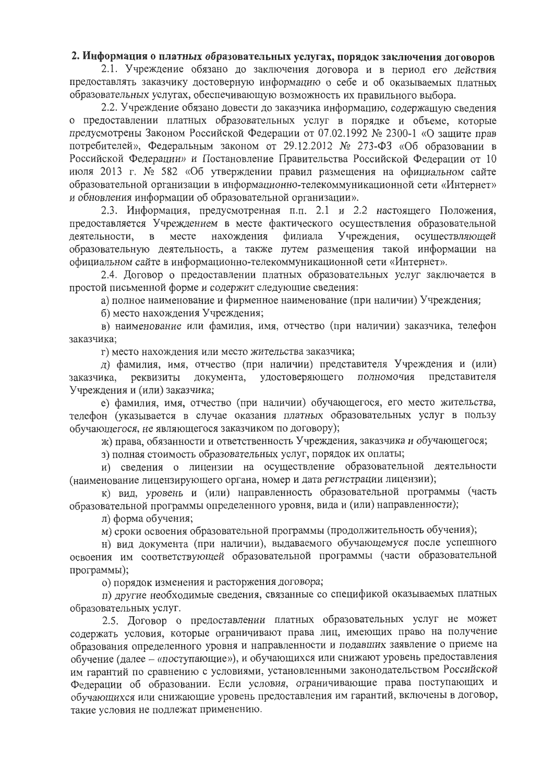## 2. Информация о платных образовательных услугах, порядок заключения договоров

2.1. Учреждение обязано до заключения договора и в период его действия предоставлять заказчику достоверную информацию о себе и об оказываемых платных образовательных услугах, обеспечивающую возможность их правильного выбора.

2.2. Учреждение обязано довести до заказчика информацию, содержащую сведения о предоставлении платных образовательных услуг в порядке и объеме, которые предусмотрены Законом Российской Федерации от 07.02.1992 № 2300-1 «О зашите прав потребителей», Федеральным законом от 29.12.2012 № 273-ФЗ «Об образовании в Российской Федерации» и Постановление Правительства Российской Федерации от 10 июля 2013 г. № 582 «Об утверждении правил размещения на официальном сайте образовательной организации в информационно-телекоммуникационной сети «Интернет» и обновления информации об образовательной организации».

2.3. Информация, предусмотренная п.п. 2.1 и 2.2 настоящего Положения, предоставляется Учреждением в месте фактического осуществления образовательной  $\overline{B}$ месте нахождения филиала Учреждения, осуществляющей деятельности. образовательную деятельность, а также путем размещения такой информации на официальном сайте в информационно-телекоммуникационной сети «Интернет».

2.4. Договор о предоставлении платных образовательных услуг заключается в простой письменной форме и содержит следующие сведения:

а) полное наименование и фирменное наименование (при наличии) Учреждения;

б) место нахождения Учреждения;

в) наименование или фамилия, имя, отчество (при наличии) заказчика, телефон заказчика;

г) место нахождения или место жительства заказчика;

д) фамилия, имя, отчество (при наличии) представителя Учреждения и (или) заказчика, реквизиты документа, удостоверяющего полномочия представителя Учреждения и (или) заказчика;

е) фамилия, имя, отчество (при наличии) обучающегося, его место жительства, телефон (указывается в случае оказания платных образовательных услуг в пользу обучающегося, не являющегося заказчиком по договору);

ж) права, обязанности и ответственность Учреждения, заказчика и обучающегося;

з) полная стоимость образовательных услуг, порядок их оплаты;

и) сведения о лицензии на осуществление образовательной деятельности (наименование лицензирующего органа, номер и дата регистрации лицензии);

к) вид, уровень и (или) направленность образовательной программы (часть образовательной программы определенного уровня, вида и (или) направленности);

л) форма обучения;

м) сроки освоения образовательной программы (продолжительность обучения);

н) вид документа (при наличии), выдаваемого обучающемуся после успешного освоения им соответствующей образовательной программы (части образовательной программы);

о) порядок изменения и расторжения договора;

п) другие необходимые сведения, связанные со спецификой оказываемых платных образовательных услуг.

2.5. Договор о предоставлении платных образовательных услуг не может содержать условия, которые ограничивают права лиц, имеющих право на получение образования определенного уровня и направленности и подавших заявление о приеме на обучение (далее - «поступающие»), и обучающихся или снижают уровень предоставления им гарантий по сравнению с условиями, установленными законодательством Российской Федерации об образовании. Если условия, ограничивающие права поступающих и обучающихся или снижающие уровень предоставления им гарантий, включены в договор, такие условия не подлежат применению.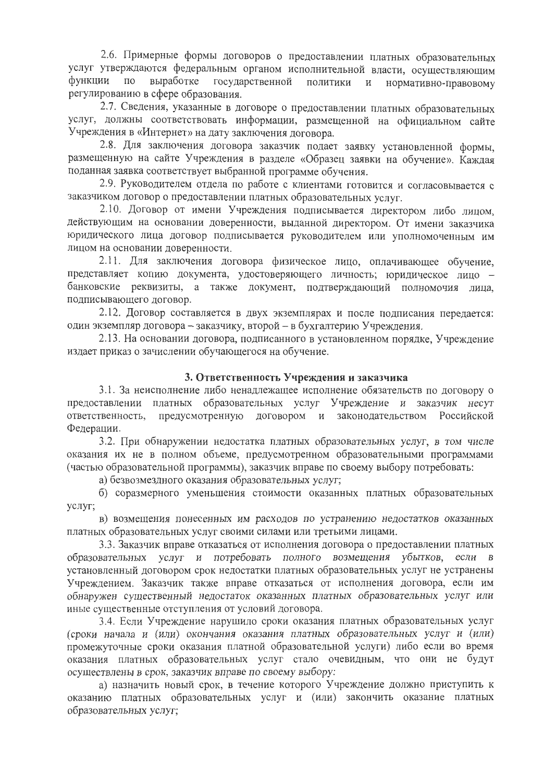2.6. Примерные формы договоров о предоставлении платных образовательных услуг утверждаются федеральным органом исполнительной власти, осуществляющим выработке государственной функции по политики и нормативно-правовому регулированию в сфере образования.

2.7. Сведения, указанные в договоре о предоставлении платных образовательных услуг, должны соответствовать информации, размещенной на официальном сайте Учреждения в «Интернет» на дату заключения договора.

2.8. Для заключения договора заказчик подает заявку установленной формы, размещенную на сайте Учреждения в разделе «Образец заявки на обучение». Каждая поданная заявка соответствует выбранной программе обучения.

2.9. Руководителем отдела по работе с клиентами готовится и согласовывается с заказчиком договор о предоставлении платных образовательных услуг.

2.10. Договор от имени Учреждения подписывается директором либо лицом, действующим на основании доверенности, выданной директором. От имени заказчика юридического лица договор подписывается руководителем или уполномоченным им лицом на основании доверенности.

2.11. Для заключения договора физическое лицо, оплачивающее обучение, представляет копию документа, удостоверяющего личность; юридическое лицо банковские реквизиты, а также документ, подтверждающий полномочия лица, подписывающего договор.

2.12. Договор составляется в двух экземплярах и после подписания передается: один экземпляр договора - заказчику, второй - в бухгалтерию Учреждения.

2.13. На основании договора, подписанного в установленном порядке, Учреждение издает приказ о зачислении обучающегося на обучение.

# 3. Ответственность Учреждения и заказчика

3.1. За неисполнение либо ненадлежащее исполнение обязательств по договору о предоставлении платных образовательных услуг Учреждение и заказчик несут ответственность, предусмотренную договором и законодательством Российской Федерации.

3.2. При обнаружении недостатка платных образовательных услуг, в том числе оказания их не в полном объеме, предусмотренном образовательными программами (частью образовательной программы), заказчик вправе по своему выбору потребовать:

а) безвозмездного оказания образовательных услуг;

б) соразмерного уменьшения стоимости оказанных платных образовательных услуг;

в) возмещения понесенных им расходов по устранению недостатков оказанных платных образовательных услуг своими силами или третьими лицами.

3.3. Заказчик вправе отказаться от исполнения договора о предоставлении платных образовательных услуг и потребовать полного возмещения убытков, если в установленный договором срок недостатки платных образовательных услуг не устранены Учреждением. Заказчик также вправе отказаться от исполнения договора, если им обнаружен существенный недостаток оказанных платных образовательных услуг или иные существенные отступления от условий договора.

3.4. Если Учреждение нарушило сроки оказания платных образовательных услуг (сроки начала и (или) окончания оказания платных образовательных услуг и (или) промежуточные сроки оказания платной образовательной услуги) либо если во время оказания платных образовательных услуг стало очевидным, что они не будут осуществлены в срок, заказчик вправе по своему выбору:

а) назначить новый срок, в течение которого Учреждение должно приступить к оказанию платных образовательных услуг и (или) закончить оказание платных образовательных услуг;